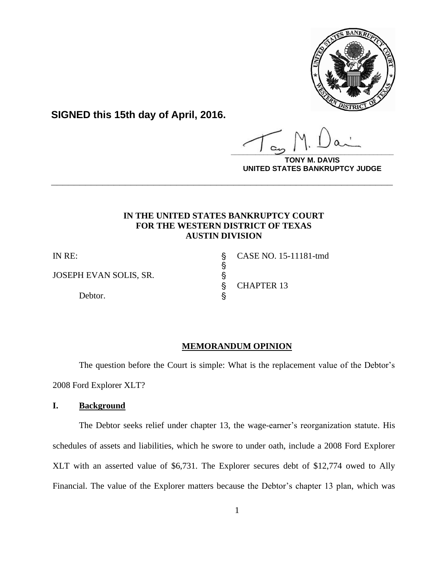

**SIGNED this 15th day of April, 2016.**

**\_\_\_\_\_\_\_\_\_\_\_\_\_\_\_\_\_\_\_\_\_\_\_\_\_\_\_\_\_\_\_\_\_\_\_\_\_\_\_\_**

**DAVIS UNITED STATES BANKRUPTCY JUDGE**

# **IN THE UNITED STATES BANKRUPTCY COURT FOR THE WESTERN DISTRICT OF TEXAS AUSTIN DIVISION**

**\_\_\_\_\_\_\_\_\_\_\_\_\_\_\_\_\_\_\_\_\_\_\_\_\_\_\_\_\_\_\_\_\_\_\_\_\_\_\_\_\_\_\_\_\_\_\_\_\_\_\_\_\_\_\_\_\_\_\_\_**

**့**<br>လက်

JOSEPH EVAN SOLIS, SR. '

Debtor.  $\S$ 

IN RE: ' CASE NO. 15-11181-tmd ' CHAPTER 13

# **MEMORANDUM OPINION**

The question before the Court is simple: What is the replacement value of the Debtor's 2008 Ford Explorer XLT?

# **I. Background**

The Debtor seeks relief under chapter 13, the wage-earner's reorganization statute. His schedules of assets and liabilities, which he swore to under oath, include a 2008 Ford Explorer XLT with an asserted value of \$6,731. The Explorer secures debt of \$12,774 owed to Ally Financial. The value of the Explorer matters because the Debtor's chapter 13 plan, which was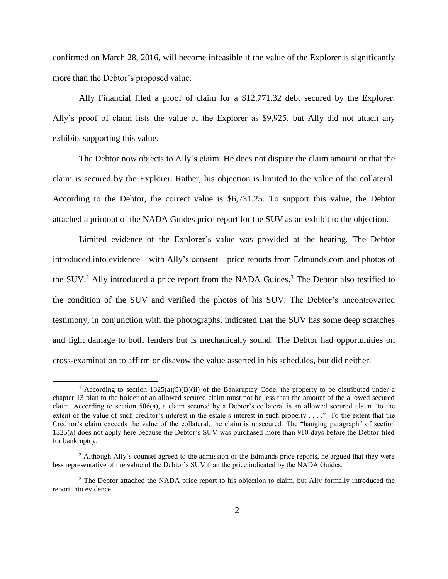confirmed on March 28, 2016, will become infeasible if the value of the Explorer is significantly more than the Debtor's proposed value.<sup>1</sup>

Ally Financial filed a proof of claim for a \$12,771.32 debt secured by the Explorer. Ally's proof of claim lists the value of the Explorer as \$9,925, but Ally did not attach any exhibits supporting this value.

The Debtor now objects to Ally's claim. He does not dispute the claim amount or that the claim is secured by the Explorer. Rather, his objection is limited to the value of the collateral. According to the Debtor, the correct value is \$6,731.25. To support this value, the Debtor attached a printout of the NADA Guides price report for the SUV as an exhibit to the objection.

Limited evidence of the Explorer's value was provided at the hearing. The Debtor introduced into evidence—with Ally's consent—price reports from Edmunds.com and photos of the SUV.<sup>2</sup> Ally introduced a price report from the NADA Guides.<sup>3</sup> The Debtor also testified to the condition of the SUV and verified the photos of his SUV. The Debtor's uncontroverted testimony, in conjunction with the photographs, indicated that the SUV has some deep scratches and light damage to both fenders but is mechanically sound. The Debtor had opportunities on cross-examination to affirm or disavow the value asserted in his schedules, but did neither.

<sup>&</sup>lt;sup>1</sup> According to section  $1325(a)(5)(B)(ii)$  of the Bankruptcy Code, the property to be distributed under a chapter 13 plan to the holder of an allowed secured claim must not be less than the amount of the allowed secured claim. According to section 506(a), a claim secured by a Debtor's collateral is an allowed secured claim "to the extent of the value of such creditor's interest in the estate's interest in such property . . . ." To the extent that the Creditor's claim exceeds the value of the collateral, the claim is unsecured. The "hanging paragraph" of section 1325(a) does not apply here because the Debtor's SUV was purchased more than 910 days before the Debtor filed for bankruptcy.

<sup>&</sup>lt;sup>2</sup> Although Ally's counsel agreed to the admission of the Edmunds price reports, he argued that they were less representative of the value of the Debtor's SUV than the price indicated by the NADA Guides.

<sup>&</sup>lt;sup>3</sup> The Debtor attached the NADA price report to his objection to claim, but Ally formally introduced the report into evidence.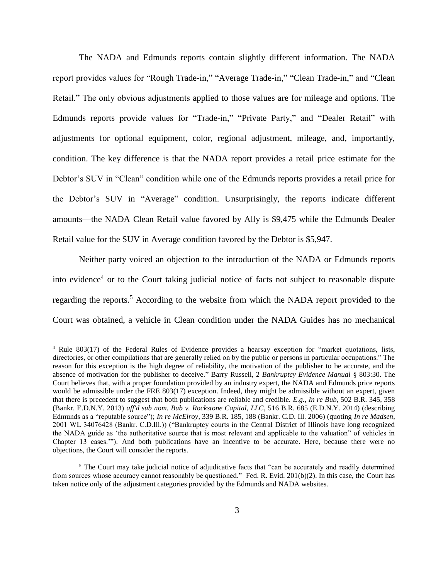The NADA and Edmunds reports contain slightly different information. The NADA report provides values for "Rough Trade-in," "Average Trade-in," "Clean Trade-in," and "Clean Retail." The only obvious adjustments applied to those values are for mileage and options. The Edmunds reports provide values for "Trade-in," "Private Party," and "Dealer Retail" with adjustments for optional equipment, color, regional adjustment, mileage, and, importantly, condition. The key difference is that the NADA report provides a retail price estimate for the Debtor's SUV in "Clean" condition while one of the Edmunds reports provides a retail price for the Debtor's SUV in "Average" condition. Unsurprisingly, the reports indicate different amounts—the NADA Clean Retail value favored by Ally is \$9,475 while the Edmunds Dealer Retail value for the SUV in Average condition favored by the Debtor is \$5,947.

Neither party voiced an objection to the introduction of the NADA or Edmunds reports into evidence<sup>4</sup> or to the Court taking judicial notice of facts not subject to reasonable dispute regarding the reports.<sup>5</sup> According to the website from which the NADA report provided to the Court was obtained, a vehicle in Clean condition under the NADA Guides has no mechanical

<sup>4</sup> Rule 803(17) of the Federal Rules of Evidence provides a hearsay exception for "market quotations, lists, directories, or other compilations that are generally relied on by the public or persons in particular occupations." The reason for this exception is the high degree of reliability, the motivation of the publisher to be accurate, and the absence of motivation for the publisher to deceive." Barry Russell, 2 *Bankruptcy Evidence Manual* § 803:30. The Court believes that, with a proper foundation provided by an industry expert, the NADA and Edmunds price reports would be admissible under the FRE 803(17) exception. Indeed, they might be admissible without an expert, given that there is precedent to suggest that both publications are reliable and credible. *E.g.*, *In re Bub*, 502 B.R. 345, 358 (Bankr. E.D.N.Y. 2013) *aff'd sub nom. Bub v. Rockstone Capital, LLC*, 516 B.R. 685 (E.D.N.Y. 2014) (describing Edmunds as a "reputable source"); *In re McElroy*, 339 B.R. 185, 188 (Bankr. C.D. Ill. 2006) (quoting *In re Madsen*, 2001 WL 34076428 (Bankr. C.D.Ill.)) ("Bankruptcy courts in the Central District of Illinois have long recognized the NADA guide as 'the authoritative source that is most relevant and applicable to the valuation" of vehicles in Chapter 13 cases.'"). And both publications have an incentive to be accurate. Here, because there were no objections, the Court will consider the reports.

<sup>5</sup> The Court may take judicial notice of adjudicative facts that "can be accurately and readily determined from sources whose accuracy cannot reasonably be questioned." Fed. R. Evid. 201(b)(2). In this case, the Court has taken notice only of the adjustment categories provided by the Edmunds and NADA websites.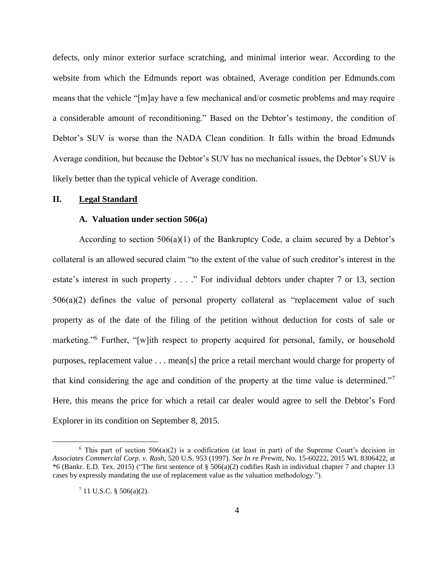defects, only minor exterior surface scratching, and minimal interior wear. According to the website from which the Edmunds report was obtained, Average condition per Edmunds.com means that the vehicle "[m]ay have a few mechanical and/or cosmetic problems and may require a considerable amount of reconditioning." Based on the Debtor's testimony, the condition of Debtor's SUV is worse than the NADA Clean condition. It falls within the broad Edmunds Average condition, but because the Debtor's SUV has no mechanical issues, the Debtor's SUV is likely better than the typical vehicle of Average condition.

### **II. Legal Standard**

### **A. Valuation under section 506(a)**

According to section  $506(a)(1)$  of the Bankruptcy Code, a claim secured by a Debtor's collateral is an allowed secured claim "to the extent of the value of such creditor's interest in the estate's interest in such property . . . ." For individual debtors under chapter 7 or 13, section 506(a)(2) defines the value of personal property collateral as "replacement value of such property as of the date of the filing of the petition without deduction for costs of sale or marketing."<sup>6</sup> Further, "[w]ith respect to property acquired for personal, family, or household purposes, replacement value . . . mean[s] the price a retail merchant would charge for property of that kind considering the age and condition of the property at the time value is determined."<sup>7</sup> Here, this means the price for which a retail car dealer would agree to sell the Debtor's Ford Explorer in its condition on September 8, 2015.

<sup>&</sup>lt;sup>6</sup> This part of section 506(a)(2) is a codification (at least in part) of the Supreme Court's decision in *Associates Commercial Corp. v. Rash*, 520 U.S. 953 (1997). *See In re Prewitt*, No. 15-60222, 2015 WL 8306422, at \*6 (Bankr. E.D. Tex. 2015) ("The first sentence of § 506(a)(2) codifies Rash in individual chapter 7 and chapter 13 cases by expressly mandating the use of replacement value as the valuation methodology.").

<sup>7</sup> 11 U.S.C. § 506(a)(2).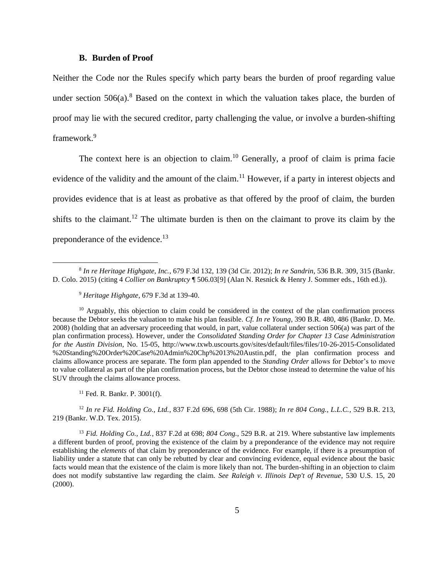#### **B. Burden of Proof**

Neither the Code nor the Rules specify which party bears the burden of proof regarding value under section  $506(a)$ .<sup>8</sup> Based on the context in which the valuation takes place, the burden of proof may lie with the secured creditor, party challenging the value, or involve a burden-shifting framework.<sup>9</sup>

The context here is an objection to claim.<sup>10</sup> Generally, a proof of claim is prima facie evidence of the validity and the amount of the claim.<sup>11</sup> However, if a party in interest objects and provides evidence that is at least as probative as that offered by the proof of claim, the burden shifts to the claimant.<sup>12</sup> The ultimate burden is then on the claimant to prove its claim by the preponderance of the evidence.<sup>13</sup>

<sup>9</sup> *Heritage Highgate*, 679 F.3d at 139-40.

l

 $10$  Arguably, this objection to claim could be considered in the context of the plan confirmation process because the Debtor seeks the valuation to make his plan feasible. *Cf. In re Young*, 390 B.R. 480, 486 (Bankr. D. Me. 2008) (holding that an adversary proceeding that would, in part, value collateral under section 506(a) was part of the plan confirmation process). However, under the *Consolidated Standing Order for Chapter 13 Case Administration for the Austin Division*, No. 15-05, [http://www.txwb.uscourts.gov/sites/default/files/files/10-26-2015-Consolidated](http://www.txwb.uscourts.gov/sites/default/files/files/10-26-2015-Consolidated%20%20Standing%20%20Order%20Case%20Admin%20Chp%2013%20Austin.pdf)  [%20Standing%20Order%20Case%20Admin%20Chp%2013%20Austin.pdf,](http://www.txwb.uscourts.gov/sites/default/files/files/10-26-2015-Consolidated%20%20Standing%20%20Order%20Case%20Admin%20Chp%2013%20Austin.pdf) the plan confirmation process and claims allowance process are separate. The form plan appended to the *Standing Order* allows for Debtor's to move to value collateral as part of the plan confirmation process, but the Debtor chose instead to determine the value of his SUV through the claims allowance process.

<sup>11</sup> Fed. R. Bankr. P. 3001(f).

<sup>12</sup> *In re Fid. Holding Co., Ltd.*, 837 F.2d 696, 698 (5th Cir. 1988); *In re 804 Cong., L.L.C.*, 529 B.R. 213, 219 (Bankr. W.D. Tex. 2015).

<sup>13</sup> *Fid. Holding Co., Ltd.*, 837 F.2d at 698; *804 Cong.*, 529 B.R. at 219. Where substantive law implements a different burden of proof, proving the existence of the claim by a preponderance of the evidence may not require establishing the *elements* of that claim by preponderance of the evidence. For example, if there is a presumption of liability under a statute that can only be rebutted by clear and convincing evidence, equal evidence about the basic facts would mean that the existence of the claim is more likely than not. The burden-shifting in an objection to claim does not modify substantive law regarding the claim. *See Raleigh v. Illinois Dep't of Revenue*, 530 U.S. 15, 20 (2000).

<sup>8</sup> *In re Heritage Highgate, Inc.*, 679 F.3d 132, 139 (3d Cir. 2012); *In re Sandrin*, 536 B.R. 309, 315 (Bankr. D. Colo. 2015) (citing 4 *Collier on Bankruptcy* ¶ 506.03[9] (Alan N. Resnick & Henry J. Sommer eds., 16th ed.)).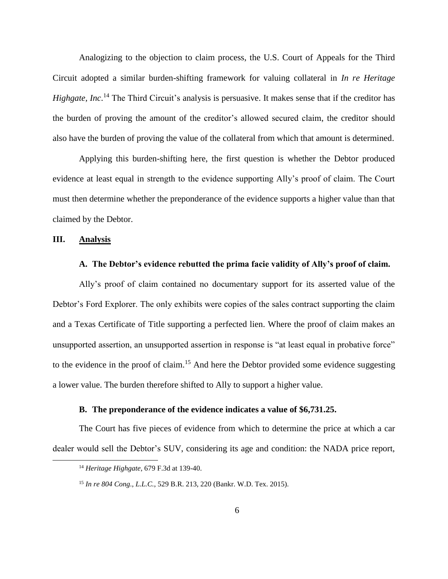Analogizing to the objection to claim process, the U.S. Court of Appeals for the Third Circuit adopted a similar burden-shifting framework for valuing collateral in *In re Heritage Highgate, Inc.*<sup>14</sup> The Third Circuit's analysis is persuasive. It makes sense that if the creditor has the burden of proving the amount of the creditor's allowed secured claim, the creditor should also have the burden of proving the value of the collateral from which that amount is determined.

Applying this burden-shifting here, the first question is whether the Debtor produced evidence at least equal in strength to the evidence supporting Ally's proof of claim. The Court must then determine whether the preponderance of the evidence supports a higher value than that claimed by the Debtor.

## **III. Analysis**

l

#### **A. The Debtor's evidence rebutted the prima facie validity of Ally's proof of claim.**

Ally's proof of claim contained no documentary support for its asserted value of the Debtor's Ford Explorer. The only exhibits were copies of the sales contract supporting the claim and a Texas Certificate of Title supporting a perfected lien. Where the proof of claim makes an unsupported assertion, an unsupported assertion in response is "at least equal in probative force" to the evidence in the proof of claim.<sup>15</sup> And here the Debtor provided some evidence suggesting a lower value. The burden therefore shifted to Ally to support a higher value.

### **B. The preponderance of the evidence indicates a value of \$6,731.25.**

The Court has five pieces of evidence from which to determine the price at which a car dealer would sell the Debtor's SUV, considering its age and condition: the NADA price report,

<sup>14</sup> *Heritage Highgate*, 679 F.3d at 139-40.

<sup>15</sup> *In re 804 Cong., L.L.C.*, 529 B.R. 213, 220 (Bankr. W.D. Tex. 2015)*.*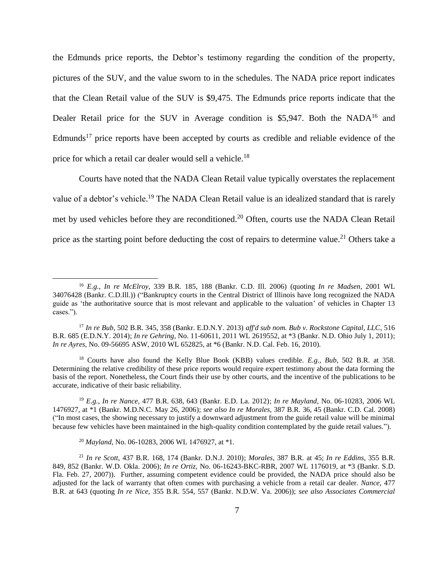the Edmunds price reports, the Debtor's testimony regarding the condition of the property, pictures of the SUV, and the value sworn to in the schedules. The NADA price report indicates that the Clean Retail value of the SUV is \$9,475. The Edmunds price reports indicate that the Dealer Retail price for the SUV in Average condition is \$5,947. Both the NADA<sup>16</sup> and Edmunds<sup>17</sup> price reports have been accepted by courts as credible and reliable evidence of the price for which a retail car dealer would sell a vehicle.<sup>18</sup>

Courts have noted that the NADA Clean Retail value typically overstates the replacement value of a debtor's vehicle.<sup>19</sup> The NADA Clean Retail value is an idealized standard that is rarely met by used vehicles before they are reconditioned.<sup>20</sup> Often, courts use the NADA Clean Retail price as the starting point before deducting the cost of repairs to determine value.<sup>21</sup> Others take a

<sup>16</sup> *E.g.*, *In re McElroy*, 339 B.R. 185, 188 (Bankr. C.D. Ill. 2006) (quoting *In re Madsen*, 2001 WL 34076428 (Bankr. C.D.Ill.)) ("Bankruptcy courts in the Central District of Illinois have long recognized the NADA guide as 'the authoritative source that is most relevant and applicable to the valuation' of vehicles in Chapter 13 cases.").

<sup>17</sup> *In re Bub*, 502 B.R. 345, 358 (Bankr. E.D.N.Y. 2013) *aff'd sub nom. Bub v. Rockstone Capital, LLC*, 516 B.R. 685 (E.D.N.Y. 2014); *In re Gehring*, No. 11-60611, 2011 WL 2619552, at \*3 (Bankr. N.D. Ohio July 1, 2011); *In re Ayres*, No. 09-56695 ASW, 2010 WL 652825, at \*6 (Bankr. N.D. Cal. Feb. 16, 2010).

<sup>18</sup> Courts have also found the Kelly Blue Book (KBB) values credible. *E.g., Bub*, 502 B.R. at 358. Determining the relative credibility of these price reports would require expert testimony about the data forming the basis of the report. Nonetheless, the Court finds their use by other courts, and the incentive of the publications to be accurate, indicative of their basic reliability.

<sup>19</sup> *E.g.*, *In re Nance*, 477 B.R. 638, 643 (Bankr. E.D. La. 2012); *In re Mayland*, No. 06-10283, 2006 WL 1476927, at \*1 (Bankr. M.D.N.C. May 26, 2006); *see also In re Morales*, 387 B.R. 36, 45 (Bankr. C.D. Cal. 2008) ("In most cases, the showing necessary to justify a downward adjustment from the guide retail value will be minimal because few vehicles have been maintained in the high-quality condition contemplated by the guide retail values.").

<sup>20</sup> *Mayland*, No. 06-10283, 2006 WL 1476927, at \*1.

<sup>21</sup> *In re Scott*, 437 B.R. 168, 174 (Bankr. D.N.J. 2010); *Morales*, 387 B.R. at 45; *In re Eddins*, 355 B.R. 849, 852 (Bankr. W.D. Okla. 2006); *In re Ortiz*, No. 06-16243-BKC-RBR, 2007 WL 1176019, at \*3 (Bankr. S.D. Fla. Feb. 27, 2007)). Further, assuming competent evidence could be provided, the NADA price should also be adjusted for the lack of warranty that often comes with purchasing a vehicle from a retail car dealer. *Nance*, 477 B.R. at 643 (quoting *In re Nice*, 355 B.R. 554, 557 (Bankr. N.D.W. Va. 2006)); *see also Associates Commercial*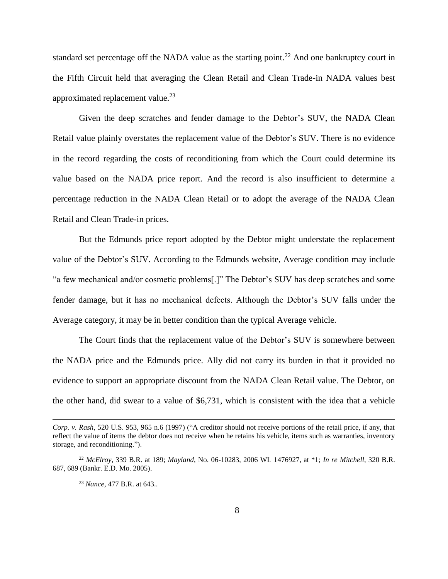standard set percentage off the NADA value as the starting point.<sup>22</sup> And one bankruptcy court in the Fifth Circuit held that averaging the Clean Retail and Clean Trade-in NADA values best approximated replacement value. $^{23}$ 

Given the deep scratches and fender damage to the Debtor's SUV, the NADA Clean Retail value plainly overstates the replacement value of the Debtor's SUV. There is no evidence in the record regarding the costs of reconditioning from which the Court could determine its value based on the NADA price report. And the record is also insufficient to determine a percentage reduction in the NADA Clean Retail or to adopt the average of the NADA Clean Retail and Clean Trade-in prices.

But the Edmunds price report adopted by the Debtor might understate the replacement value of the Debtor's SUV. According to the Edmunds website, Average condition may include "a few mechanical and/or cosmetic problems[.]" The Debtor's SUV has deep scratches and some fender damage, but it has no mechanical defects. Although the Debtor's SUV falls under the Average category, it may be in better condition than the typical Average vehicle.

The Court finds that the replacement value of the Debtor's SUV is somewhere between the NADA price and the Edmunds price. Ally did not carry its burden in that it provided no evidence to support an appropriate discount from the NADA Clean Retail value. The Debtor, on the other hand, did swear to a value of \$6,731, which is consistent with the idea that a vehicle

*Corp. v. Rash*, 520 U.S. 953, 965 n.6 (1997) ("A creditor should not receive portions of the retail price, if any, that reflect the value of items the debtor does not receive when he retains his vehicle, items such as warranties, inventory storage, and reconditioning.").

<sup>22</sup> *McElroy*, 339 B.R. at 189; *Mayland*, No. 06-10283, 2006 WL 1476927, at \*1; *In re Mitchell*, 320 B.R. 687, 689 (Bankr. E.D. Mo. 2005).

<sup>23</sup> *Nance*, 477 B.R. at 643..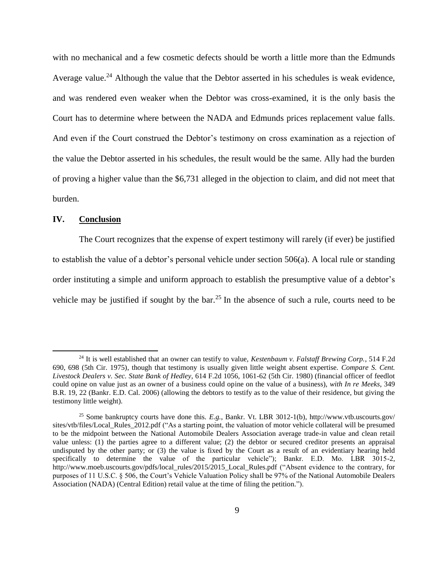with no mechanical and a few cosmetic defects should be worth a little more than the Edmunds Average value.<sup>24</sup> Although the value that the Debtor asserted in his schedules is weak evidence, and was rendered even weaker when the Debtor was cross-examined, it is the only basis the Court has to determine where between the NADA and Edmunds prices replacement value falls. And even if the Court construed the Debtor's testimony on cross examination as a rejection of the value the Debtor asserted in his schedules, the result would be the same. Ally had the burden of proving a higher value than the \$6,731 alleged in the objection to claim, and did not meet that burden.

### **IV. Conclusion**

 $\overline{\phantom{a}}$ 

The Court recognizes that the expense of expert testimony will rarely (if ever) be justified to establish the value of a debtor's personal vehicle under section 506(a). A local rule or standing order instituting a simple and uniform approach to establish the presumptive value of a debtor's vehicle may be justified if sought by the bar.<sup>25</sup> In the absence of such a rule, courts need to be

<sup>24</sup> It is well established that an owner can testify to value, *Kestenbaum v. Falstaff Brewing Corp.*, 514 F.2d 690, 698 (5th Cir. 1975), though that testimony is usually given little weight absent expertise. *Compare S. Cent. Livestock Dealers v. Sec. State Bank of Hedley*, 614 F.2d 1056, 1061-62 (5th Cir. 1980) (financial officer of feedlot could opine on value just as an owner of a business could opine on the value of a business), *with In re Meeks*, 349 B.R. 19, 22 (Bankr. E.D. Cal. 2006) (allowing the debtors to testify as to the value of their residence, but giving the testimony little weight).

<sup>25</sup> Some bankruptcy courts have done this. *E.g.*, Bankr. Vt. LBR 3012-1(b), [http://www.vtb.uscourts.gov/](http://www.vtb.uscourts.gov/%20sites/vtb/files/Local_Rules_2012.pdf)  [sites/vtb/files/Local\\_Rules\\_2012.pdf \(](http://www.vtb.uscourts.gov/%20sites/vtb/files/Local_Rules_2012.pdf)"As a starting point, the valuation of motor vehicle collateral will be presumed to be the midpoint between the National Automobile Dealers Association average trade-in value and clean retail value unless: (1) the parties agree to a different value; (2) the debtor or secured creditor presents an appraisal undisputed by the other party; or (3) the value is fixed by the Court as a result of an evidentiary hearing held specifically to determine the value of the particular vehicle"); Bankr. E.D. Mo. LBR 3015-2, [http://www.moeb.uscourts.gov/pdfs/local\\_rules/2015/2015\\_Local\\_Rules.pdf](http://www.moeb.uscourts.gov/pdfs/local_rules/2015/2015_Local_Rules.pdf) ("Absent evidence to the contrary, for purposes of 11 U.S.C. § 506, the Court's Vehicle Valuation Policy shall be 97% of the National Automobile Dealers Association (NADA) (Central Edition) retail value at the time of filing the petition.").